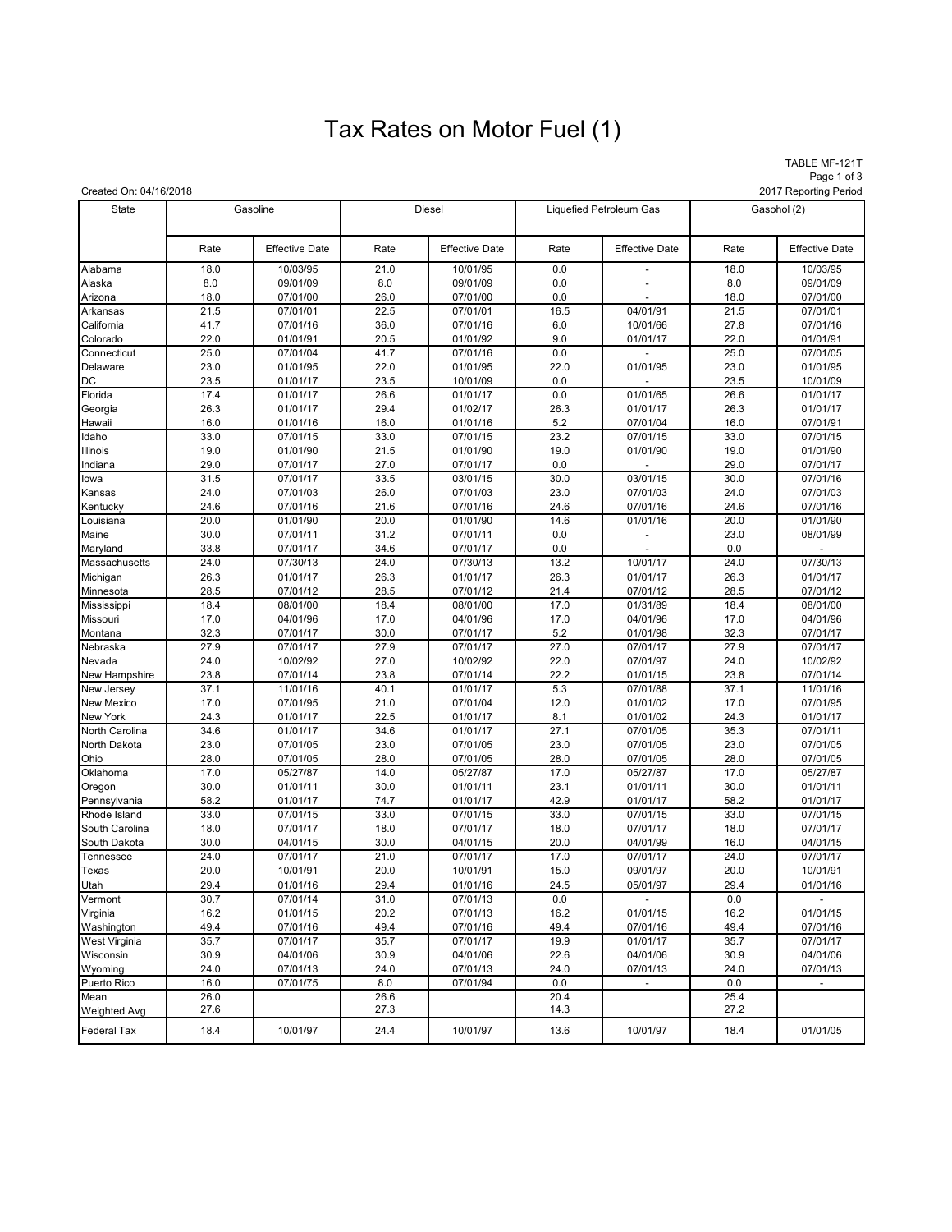# Tax Rates on Motor Fuel (1)

TABLE MF-121T Page 1 of 3<br>2017 Reporting Period

| Created On: 04/16/2018 |              |                       |              |                       |                         |                          |              | 2017 Reporting Period |
|------------------------|--------------|-----------------------|--------------|-----------------------|-------------------------|--------------------------|--------------|-----------------------|
| <b>State</b>           | Gasoline     |                       | Diesel       |                       | Liquefied Petroleum Gas |                          | Gasohol (2)  |                       |
|                        | Rate         | <b>Effective Date</b> | Rate         | <b>Effective Date</b> | Rate                    | <b>Effective Date</b>    | Rate         | <b>Effective Date</b> |
| Alabama                | 18.0         | 10/03/95              | 21.0         | 10/01/95              | 0.0                     |                          | 18.0         | 10/03/95              |
| Alaska                 | 8.0          | 09/01/09              | 8.0          | 09/01/09              | 0.0                     |                          | 8.0          | 09/01/09              |
| Arizona                | 18.0         | 07/01/00              | 26.0         | 07/01/00              | 0.0                     |                          | 18.0         | 07/01/00              |
| Arkansas               | 21.5         | 07/01/01              | 22.5         | 07/01/01              | 16.5                    | 04/01/91                 | 21.5         | 07/01/01              |
| California             | 41.7         | 07/01/16              | 36.0         | 07/01/16              | 6.0                     | 10/01/66                 | 27.8         | 07/01/16              |
| Colorado               | 22.0         | 01/01/91              | 20.5         | 01/01/92              | 9.0                     | 01/01/17                 | 22.0         | 01/01/91              |
| Connecticut            | 25.0         | 07/01/04              | 41.7         | 07/01/16              | 0.0                     |                          | 25.0         | 07/01/05              |
| Delaware               | 23.0         | 01/01/95              | 22.0         | 01/01/95              | 22.0                    | 01/01/95                 | 23.0         | 01/01/95              |
| DC                     | 23.5         | 01/01/17              | 23.5         | 10/01/09              | 0.0                     |                          | 23.5         | 10/01/09              |
| Florida                | 17.4         | 01/01/17              | 26.6         | 01/01/17              | 0.0                     | 01/01/65                 | 26.6         | 01/01/17              |
| Georgia                | 26.3         | 01/01/17              | 29.4         | 01/02/17              | 26.3                    | 01/01/17                 | 26.3         | 01/01/17              |
| Hawaii                 | 16.0         | 01/01/16              | 16.0         | 01/01/16              | 5.2                     | 07/01/04                 | 16.0         | 07/01/91              |
| Idaho                  | 33.0         | 07/01/15              | 33.0         | 07/01/15              | 23.2                    | 07/01/15                 | 33.0         | 07/01/15              |
| Illinois               | 19.0         | 01/01/90              | 21.5         | 01/01/90              | 19.0                    | 01/01/90                 | 19.0         | 01/01/90              |
| Indiana                | 29.0         | 07/01/17              | 27.0         | 07/01/17              | 0.0                     |                          | 29.0         | 07/01/17              |
| lowa                   | 31.5         | 07/01/17              | 33.5         | 03/01/15              | 30.0                    | 03/01/15                 | 30.0         | 07/01/16              |
| Kansas                 | 24.0         | 07/01/03              | 26.0         | 07/01/03              | 23.0                    | 07/01/03                 | 24.0         | 07/01/03              |
| Kentucky               | 24.6         | 07/01/16              | 21.6         | 07/01/16              | 24.6                    | 07/01/16                 | 24.6         | 07/01/16              |
| Louisiana              | 20.0         | 01/01/90              | 20.0         | 01/01/90              | 14.6                    | 01/01/16                 | 20.0         | 01/01/90              |
| Maine                  | 30.0         | 07/01/11              | 31.2         | 07/01/11              | 0.0                     |                          | 23.0         | 08/01/99              |
| Maryland               | 33.8         | 07/01/17              | 34.6         | 07/01/17              | 0.0                     |                          | 0.0          |                       |
| Massachusetts          | 24.0         | 07/30/13              | 24.0         | 07/30/13              | 13.2                    | 10/01/17                 | 24.0         | 07/30/13              |
| Michigan               | 26.3         | 01/01/17              | 26.3         | 01/01/17              | 26.3                    | 01/01/17                 | 26.3         | 01/01/17              |
| Minnesota              | 28.5         | 07/01/12              | 28.5         | 07/01/12              | 21.4                    | 07/01/12<br>01/31/89     | 28.5         | 07/01/12              |
| Mississippi            | 18.4         | 08/01/00              | 18.4         | 08/01/00              | 17.0                    |                          | 18.4         | 08/01/00              |
| Missouri               | 17.0<br>32.3 | 04/01/96              | 17.0<br>30.0 | 04/01/96              | 17.0<br>5.2             | 04/01/96                 | 17.0<br>32.3 | 04/01/96              |
| Montana<br>Nebraska    | 27.9         | 07/01/17<br>07/01/17  | 27.9         | 07/01/17<br>07/01/17  | 27.0                    | 01/01/98<br>07/01/17     | 27.9         | 07/01/17<br>07/01/17  |
| Nevada                 | 24.0         | 10/02/92              | 27.0         | 10/02/92              | 22.0                    | 07/01/97                 | 24.0         | 10/02/92              |
| New Hampshire          | 23.8         | 07/01/14              | 23.8         | 07/01/14              | 22.2                    | 01/01/15                 | 23.8         | 07/01/14              |
| New Jersey             | 37.1         | 11/01/16              | 40.1         | 01/01/17              | 5.3                     | 07/01/88                 | 37.1         | 11/01/16              |
| <b>New Mexico</b>      | 17.0         | 07/01/95              | 21.0         | 07/01/04              | 12.0                    | 01/01/02                 | 17.0         | 07/01/95              |
| New York               | 24.3         | 01/01/17              | 22.5         | 01/01/17              | 8.1                     | 01/01/02                 | 24.3         | 01/01/17              |
| North Carolina         | 34.6         | 01/01/17              | 34.6         | 01/01/17              | 27.1                    | 07/01/05                 | 35.3         | 07/01/11              |
| North Dakota           | 23.0         | 07/01/05              | 23.0         | 07/01/05              | 23.0                    | 07/01/05                 | 23.0         | 07/01/05              |
| Ohio                   | 28.0         | 07/01/05              | 28.0         | 07/01/05              | 28.0                    | 07/01/05                 | 28.0         | 07/01/05              |
| Oklahoma               | 17.0         | 05/27/87              | 14.0         | 05/27/87              | 17.0                    | 05/27/87                 | 17.0         | 05/27/87              |
| Oregon                 | 30.0         | 01/01/11              | 30.0         | 01/01/11              | 23.1                    | 01/01/11                 | 30.0         | 01/01/11              |
| Pennsylvania           | 58.2         | 01/01/17              | 74.7         | 01/01/17              | 42.9                    | 01/01/17                 | 58.2         | 01/01/17              |
| Rhode Island           | 33.0         | 07/01/15              | 33.0         | 07/01/15              | 33.0                    | 07/01/15                 | 33.0         | 07/01/15              |
| South Carolina         | 18.0         | 07/01/17              | 18.0         | 07/01/17              | 18.0                    | 07/01/17                 | 18.0         | 07/01/17              |
| South Dakota           | 30.0         | 04/01/15              | 30.0         | 04/01/15              | 20.0                    | 04/01/99                 | 16.0         | 04/01/15              |
| Tennessee              | 24.0         | 07/01/17              | 21.0         | 07/01/17              | 17.0                    | 07/01/17                 | 24.0         | 07/01/17              |
| Texas                  | 20.0         | 10/01/91              | 20.0         | 10/01/91              | 15.0                    | 09/01/97                 | 20.0         | 10/01/91              |
| Utah                   | 29.4         | 01/01/16              | 29.4         | 01/01/16              | 24.5                    | 05/01/97                 | 29.4         | 01/01/16              |
| Vermont                | 30.7         | 07/01/14              | 31.0         | 07/01/13              | 0.0                     |                          | 0.0          |                       |
| Virginia               | 16.2         | 01/01/15              | 20.2         | 07/01/13              | 16.2                    | 01/01/15                 | 16.2         | 01/01/15              |
| Washington             | 49.4         | 07/01/16              | 49.4         | 07/01/16              | 49.4                    | 07/01/16                 | 49.4         | 07/01/16              |
| West Virginia          | 35.7         | 07/01/17              | 35.7         | 07/01/17              | 19.9                    | 01/01/17                 | 35.7         | 07/01/17              |
| Wisconsin              | 30.9         | 04/01/06              | 30.9         | 04/01/06              | 22.6                    | 04/01/06                 | 30.9         | 04/01/06              |
| Wyoming                | 24.0         | 07/01/13              | 24.0         | 07/01/13              | 24.0                    | 07/01/13                 | 24.0         | 07/01/13              |
| Puerto Rico            | 16.0         | 07/01/75              | 8.0          | 07/01/94              | 0.0                     | $\overline{\phantom{a}}$ | 0.0          | $\blacksquare$        |
| Mean                   | 26.0         |                       | 26.6         |                       | 20.4                    |                          | 25.4         |                       |
| <b>Weighted Avg</b>    | 27.6         |                       | 27.3         |                       | 14.3                    |                          | 27.2         |                       |
| <b>Federal Tax</b>     | 18.4         | 10/01/97              | 24.4         | 10/01/97              | 13.6                    | 10/01/97                 | 18.4         | 01/01/05              |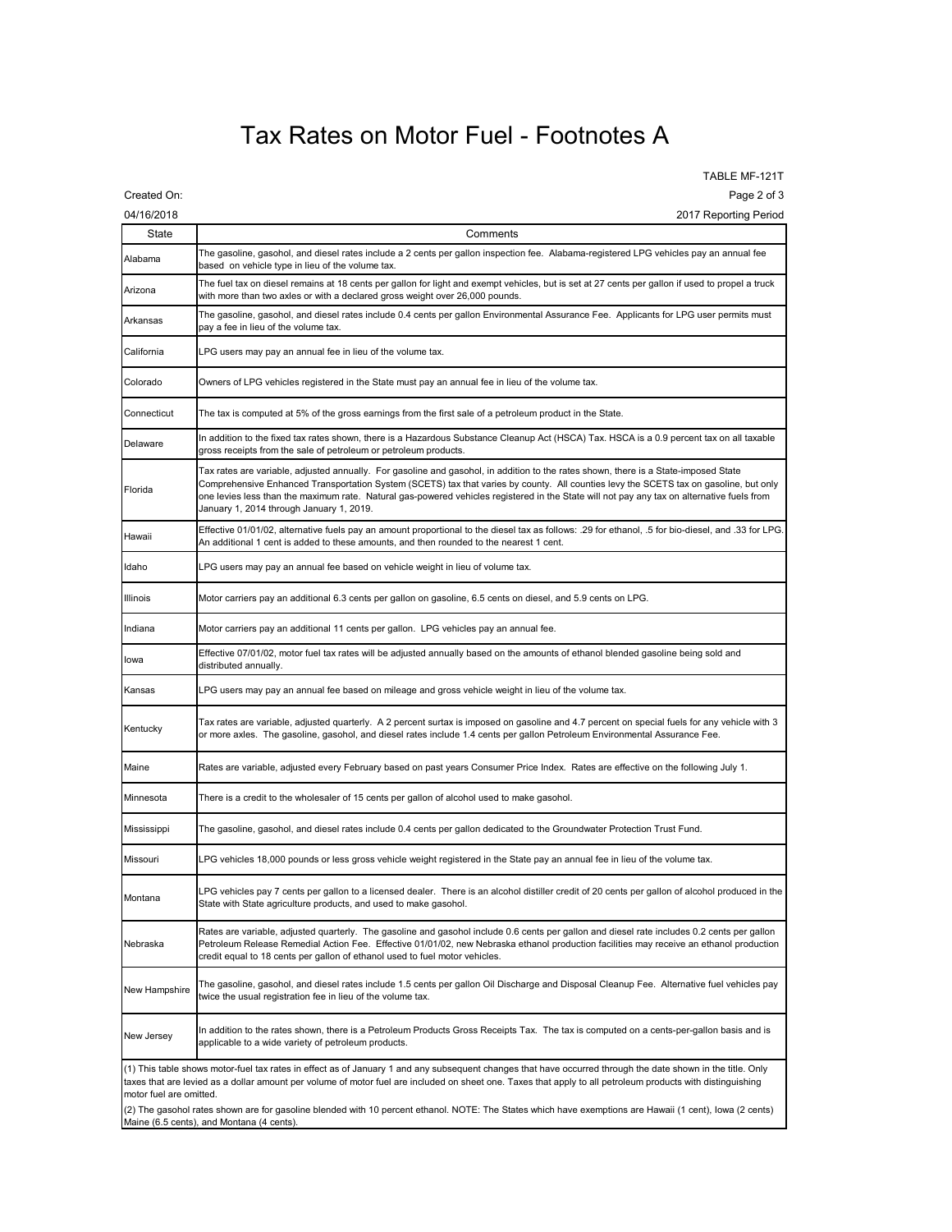### Tax Rates on Motor Fuel - Footnotes A

TABLE MF-121T Created On: Page 2 of 3

| 04/16/2018    | 2017 Reporting Period                                                                                                                                                                                                                                                                                                                                                                                                                                                   |  |  |  |
|---------------|-------------------------------------------------------------------------------------------------------------------------------------------------------------------------------------------------------------------------------------------------------------------------------------------------------------------------------------------------------------------------------------------------------------------------------------------------------------------------|--|--|--|
| State         | Comments                                                                                                                                                                                                                                                                                                                                                                                                                                                                |  |  |  |
| Alabama       | The gasoline, gasohol, and diesel rates include a 2 cents per gallon inspection fee. Alabama-registered LPG vehicles pay an annual fee<br>based on vehicle type in lieu of the volume tax.                                                                                                                                                                                                                                                                              |  |  |  |
| Arizona       | The fuel tax on diesel remains at 18 cents per gallon for light and exempt vehicles, but is set at 27 cents per gallon if used to propel a truck<br>with more than two axles or with a declared gross weight over 26,000 pounds.                                                                                                                                                                                                                                        |  |  |  |
| Arkansas      | The gasoline, gasohol, and diesel rates include 0.4 cents per gallon Environmental Assurance Fee. Applicants for LPG user permits must<br>pay a fee in lieu of the volume tax.                                                                                                                                                                                                                                                                                          |  |  |  |
| California    | LPG users may pay an annual fee in lieu of the volume tax.                                                                                                                                                                                                                                                                                                                                                                                                              |  |  |  |
| Colorado      | Owners of LPG vehicles registered in the State must pay an annual fee in lieu of the volume tax.                                                                                                                                                                                                                                                                                                                                                                        |  |  |  |
| Connecticut   | The tax is computed at 5% of the gross earnings from the first sale of a petroleum product in the State.                                                                                                                                                                                                                                                                                                                                                                |  |  |  |
| Delaware      | In addition to the fixed tax rates shown, there is a Hazardous Substance Cleanup Act (HSCA) Tax. HSCA is a 0.9 percent tax on all taxable<br>gross receipts from the sale of petroleum or petroleum products.                                                                                                                                                                                                                                                           |  |  |  |
| Florida       | Tax rates are variable, adjusted annually.  For gasoline and gasohol, in addition to the rates shown, there is a State-imposed State<br>Comprehensive Enhanced Transportation System (SCETS) tax that varies by county. All counties levy the SCETS tax on gasoline, but only<br>one levies less than the maximum rate. Natural gas-powered vehicles registered in the State will not pay any tax on alternative fuels from<br>January 1, 2014 through January 1, 2019. |  |  |  |
| Hawaii        | Effective 01/01/02, alternative fuels pay an amount proportional to the diesel tax as follows: .29 for ethanol, .5 for bio-diesel, and .33 for LPG.<br>An additional 1 cent is added to these amounts, and then rounded to the nearest 1 cent.                                                                                                                                                                                                                          |  |  |  |
| Idaho         | LPG users may pay an annual fee based on vehicle weight in lieu of volume tax.                                                                                                                                                                                                                                                                                                                                                                                          |  |  |  |
| Illinois      | Motor carriers pay an additional 6.3 cents per gallon on gasoline, 6.5 cents on diesel, and 5.9 cents on LPG.                                                                                                                                                                                                                                                                                                                                                           |  |  |  |
| Indiana       | Motor carriers pay an additional 11 cents per gallon. LPG vehicles pay an annual fee.                                                                                                                                                                                                                                                                                                                                                                                   |  |  |  |
| lowa          | Effective 07/01/02, motor fuel tax rates will be adjusted annually based on the amounts of ethanol blended gasoline being sold and<br>distributed annually.                                                                                                                                                                                                                                                                                                             |  |  |  |
| Kansas        | LPG users may pay an annual fee based on mileage and gross vehicle weight in lieu of the volume tax.                                                                                                                                                                                                                                                                                                                                                                    |  |  |  |
| Kentucky      | Tax rates are variable, adjusted quarterly. A 2 percent surtax is imposed on gasoline and 4.7 percent on special fuels for any vehicle with 3<br>or more axles. The gasoline, gasohol, and diesel rates include 1.4 cents per gallon Petroleum Environmental Assurance Fee.                                                                                                                                                                                             |  |  |  |
| Maine         | Rates are variable, adjusted every February based on past years Consumer Price Index. Rates are effective on the following July 1.                                                                                                                                                                                                                                                                                                                                      |  |  |  |
| Minnesota     | There is a credit to the wholesaler of 15 cents per gallon of alcohol used to make gasohol.                                                                                                                                                                                                                                                                                                                                                                             |  |  |  |
| Mississippi   | The gasoline, gasohol, and diesel rates include 0.4 cents per gallon dedicated to the Groundwater Protection Trust Fund.                                                                                                                                                                                                                                                                                                                                                |  |  |  |
| Missouri      | LPG vehicles 18,000 pounds or less gross vehicle weight registered in the State pay an annual fee in lieu of the volume tax.                                                                                                                                                                                                                                                                                                                                            |  |  |  |
| Montana       | LPG vehicles pay 7 cents per gallon to a licensed dealer. There is an alcohol distiller credit of 20 cents per gallon of alcohol produced in the<br>State with State agriculture products, and used to make gasohol.                                                                                                                                                                                                                                                    |  |  |  |
| Nebraska      | Rates are variable, adjusted quarterly.  The gasoline and gasohol include 0.6 cents per gallon and diesel rate includes 0.2 cents per gallon<br>Petroleum Release Remedial Action Fee. Effective 01/01/02, new Nebraska ethanol production facilities may receive an ethanol production<br>credit equal to 18 cents per gallon of ethanol used to fuel motor vehicles.                                                                                                  |  |  |  |
| New Hampshire | The gasoline, gasohol, and diesel rates include 1.5 cents per gallon Oil Discharge and Disposal Cleanup Fee.  Alternative fuel vehicles pay<br>twice the usual registration fee in lieu of the volume tax.                                                                                                                                                                                                                                                              |  |  |  |
| New Jersey    | In addition to the rates shown, there is a Petroleum Products Gross Receipts Tax. The tax is computed on a cents-per-gallon basis and is<br>applicable to a wide variety of petroleum products.                                                                                                                                                                                                                                                                         |  |  |  |
|               | (1) This table shows motor-fuel tax rates in effect as of January 1 and any subsequent changes that have occurred through the date shown in the title. Only<br>taxes that are levied as a dollar amount per volume of motor fuel are included on sheet one. Taxes that apply to all petroleum products with distinguishing                                                                                                                                              |  |  |  |

taxes that are levied as a dollar amount per volume of motor fuel are included on sheet one. Taxes that apply to all petroleum products with distinguishing motor fuel are omitted.

(2) The gasohol rates shown are for gasoline blended with 10 percent ethanol. NOTE: The States which have exemptions are Hawaii (1 cent), Iowa (2 cents) Maine (6.5 cents), and Montana (4 cents).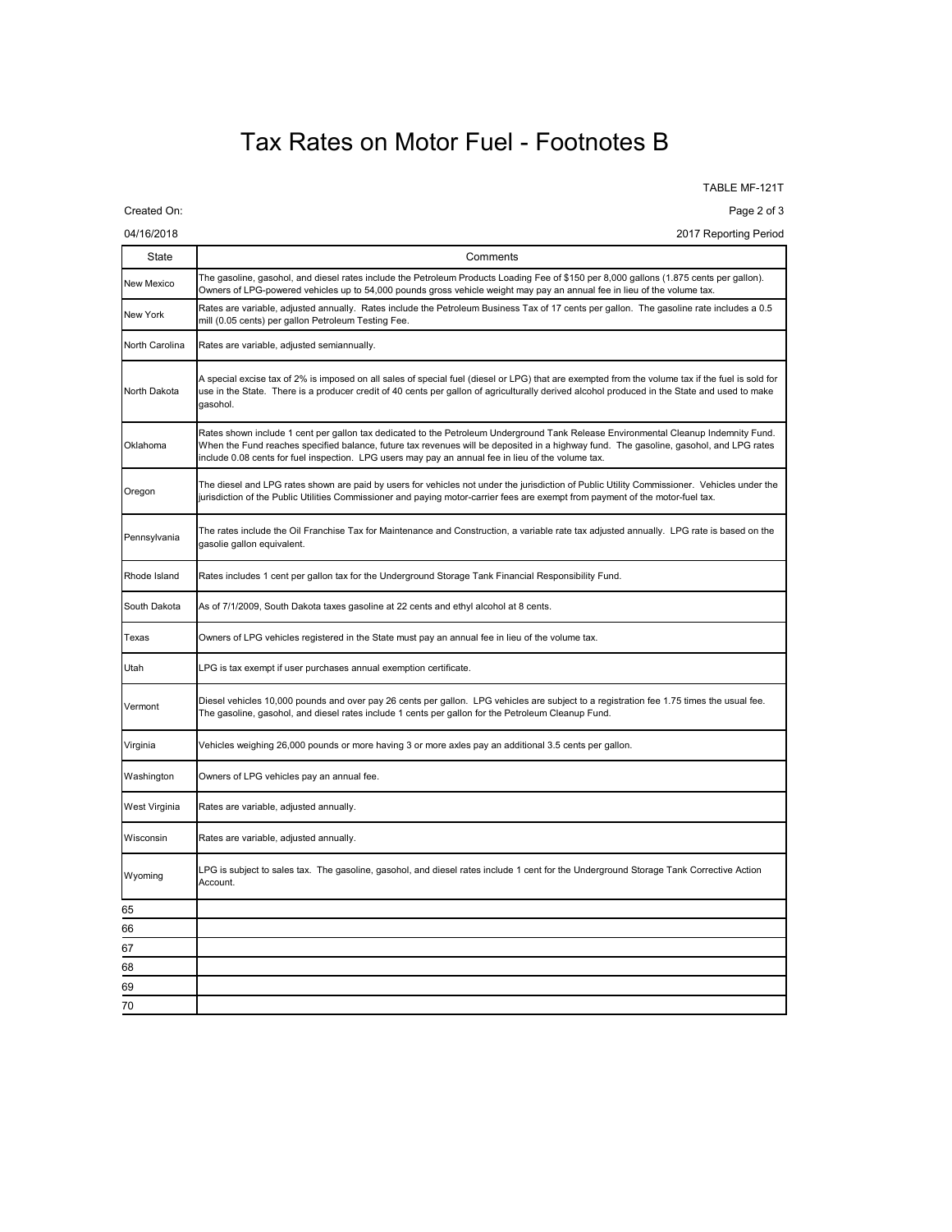### Tax Rates on Motor Fuel - Footnotes B

TABLE MF-121T

Created On: Page 2 of 3

04/16/2018 2017 Reporting Period

| <b>State</b>   | Comments                                                                                                                                                                                                                                                                                                                                                                            |  |  |  |
|----------------|-------------------------------------------------------------------------------------------------------------------------------------------------------------------------------------------------------------------------------------------------------------------------------------------------------------------------------------------------------------------------------------|--|--|--|
| New Mexico     | The gasoline, gasohol, and diesel rates include the Petroleum Products Loading Fee of \$150 per 8,000 gallons (1.875 cents per gallon).<br>Owners of LPG-powered vehicles up to 54,000 pounds gross vehicle weight may pay an annual fee in lieu of the volume tax.                                                                                                                 |  |  |  |
| New York       | Rates are variable, adjusted annually. Rates include the Petroleum Business Tax of 17 cents per gallon. The gasoline rate includes a 0.5<br>mill (0.05 cents) per gallon Petroleum Testing Fee.                                                                                                                                                                                     |  |  |  |
| North Carolina | Rates are variable, adjusted semiannually.                                                                                                                                                                                                                                                                                                                                          |  |  |  |
| North Dakota   | A special excise tax of 2% is imposed on all sales of special fuel (diesel or LPG) that are exempted from the volume tax if the fuel is sold for<br>use in the State. There is a producer credit of 40 cents per gallon of agriculturally derived alcohol produced in the State and used to make<br>gasohol.                                                                        |  |  |  |
| Oklahoma       | Rates shown include 1 cent per gallon tax dedicated to the Petroleum Underground Tank Release Environmental Cleanup Indemnity Fund.<br>When the Fund reaches specified balance, future tax revenues will be deposited in a highway fund. The gasoline, gasohol, and LPG rates<br>include 0.08 cents for fuel inspection. LPG users may pay an annual fee in lieu of the volume tax. |  |  |  |
| Oregon         | The diesel and LPG rates shown are paid by users for vehicles not under the jurisdiction of Public Utility Commissioner. Vehicles under the<br>jurisdiction of the Public Utilities Commissioner and paying motor-carrier fees are exempt from payment of the motor-fuel tax.                                                                                                       |  |  |  |
| Pennsylvania   | The rates include the Oil Franchise Tax for Maintenance and Construction, a variable rate tax adjusted annually. LPG rate is based on the<br>gasolie gallon equivalent.                                                                                                                                                                                                             |  |  |  |
| Rhode Island   | Rates includes 1 cent per gallon tax for the Underground Storage Tank Financial Responsibility Fund.                                                                                                                                                                                                                                                                                |  |  |  |
| South Dakota   | As of 7/1/2009, South Dakota taxes gasoline at 22 cents and ethyl alcohol at 8 cents.                                                                                                                                                                                                                                                                                               |  |  |  |
| Texas          | Owners of LPG vehicles registered in the State must pay an annual fee in lieu of the volume tax.                                                                                                                                                                                                                                                                                    |  |  |  |
| Utah           | LPG is tax exempt if user purchases annual exemption certificate.                                                                                                                                                                                                                                                                                                                   |  |  |  |
| Vermont        | Diesel vehicles 10,000 pounds and over pay 26 cents per gallon. LPG vehicles are subject to a registration fee 1.75 times the usual fee.<br>The gasoline, gasohol, and diesel rates include 1 cents per gallon for the Petroleum Cleanup Fund.                                                                                                                                      |  |  |  |
| Virginia       | Vehicles weighing 26,000 pounds or more having 3 or more axles pay an additional 3.5 cents per gallon.                                                                                                                                                                                                                                                                              |  |  |  |
| Washington     | Owners of LPG vehicles pay an annual fee.                                                                                                                                                                                                                                                                                                                                           |  |  |  |
| West Virginia  | Rates are variable, adjusted annually.                                                                                                                                                                                                                                                                                                                                              |  |  |  |
| Wisconsin      | Rates are variable, adjusted annually.                                                                                                                                                                                                                                                                                                                                              |  |  |  |
| Wyoming        | LPG is subject to sales tax.  The gasoline, gasohol, and diesel rates include 1 cent for the Underground Storage Tank Corrective Action<br>Account.                                                                                                                                                                                                                                 |  |  |  |
| 65             |                                                                                                                                                                                                                                                                                                                                                                                     |  |  |  |
| 66             |                                                                                                                                                                                                                                                                                                                                                                                     |  |  |  |
| 67             |                                                                                                                                                                                                                                                                                                                                                                                     |  |  |  |
| 68             |                                                                                                                                                                                                                                                                                                                                                                                     |  |  |  |
| 69             |                                                                                                                                                                                                                                                                                                                                                                                     |  |  |  |
| 70             |                                                                                                                                                                                                                                                                                                                                                                                     |  |  |  |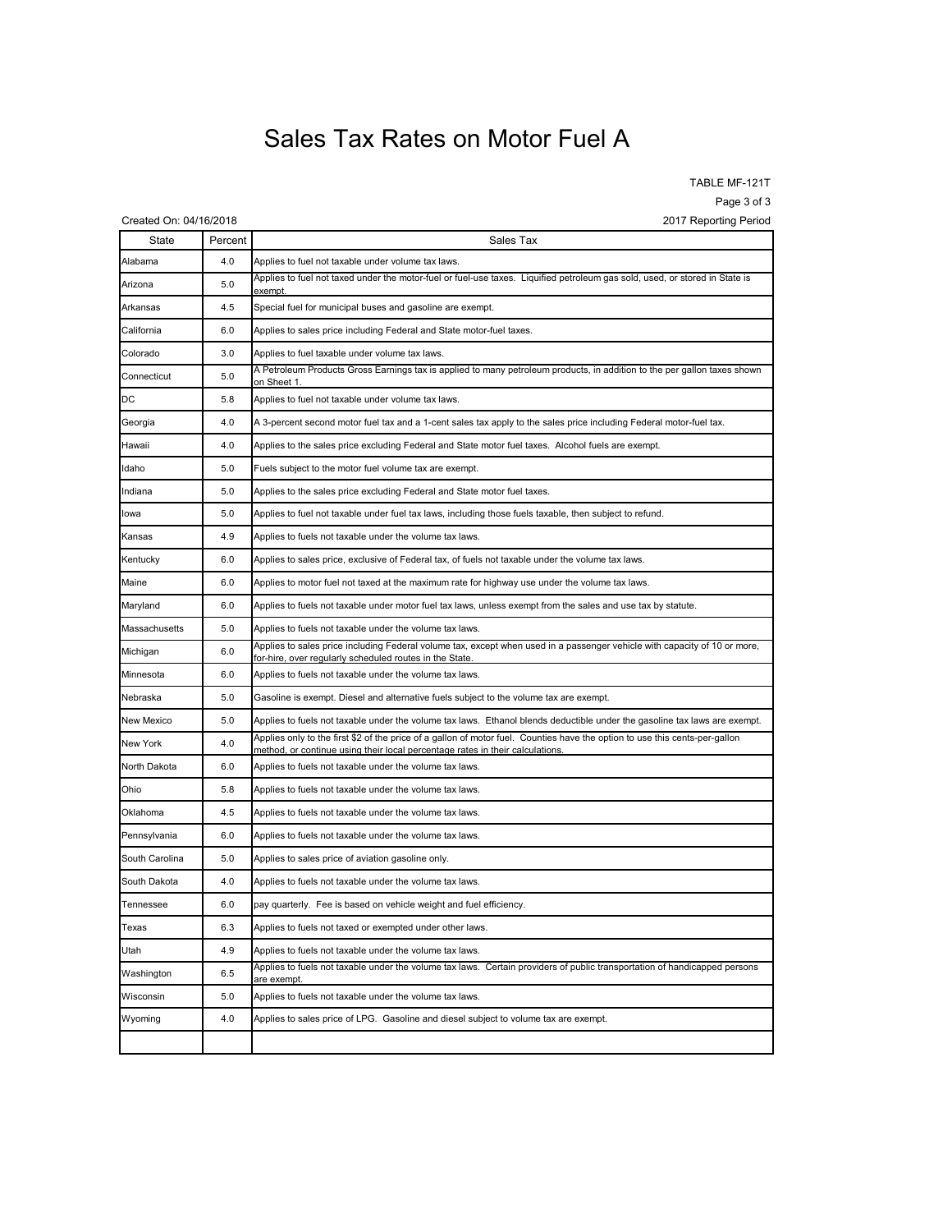## Sales Tax Rates on Motor Fuel A

TABLE MF-121T

Page 3 of 3

| Created On: 04/16/2018 |         | 2017 Reporting Period                                                                                                                                                                                       |
|------------------------|---------|-------------------------------------------------------------------------------------------------------------------------------------------------------------------------------------------------------------|
| State                  | Percent | Sales Tax                                                                                                                                                                                                   |
| Alabama                | 4.0     | Applies to fuel not taxable under volume tax laws.                                                                                                                                                          |
| Arizona                | 5.0     | Applies to fuel not taxed under the motor-fuel or fuel-use taxes. Liquified petroleum gas sold, used, or stored in State is                                                                                 |
| Arkansas               | 4.5     | Special fuel for municipal buses and gasoline are exempt.                                                                                                                                                   |
| California             | 6.0     | Applies to sales price including Federal and State motor-fuel taxes.                                                                                                                                        |
| Colorado               | 3.0     | Applies to fuel taxable under volume tax laws.                                                                                                                                                              |
| Connecticut            | 5.0     | A Petroleum Products Gross Earnings tax is applied to many petroleum products, in addition to the per gallon taxes shown<br>on Sheet 1                                                                      |
| DC                     | 5.8     | Applies to fuel not taxable under volume tax laws.                                                                                                                                                          |
| Georgia                | 4.0     | A 3-percent second motor fuel tax and a 1-cent sales tax apply to the sales price including Federal motor-fuel tax.                                                                                         |
| Hawaii                 | 4.0     | Applies to the sales price excluding Federal and State motor fuel taxes.  Alcohol fuels are exempt.                                                                                                         |
| Idaho                  | 5.0     | Fuels subject to the motor fuel volume tax are exempt.                                                                                                                                                      |
| Indiana                | 5.0     | Applies to the sales price excluding Federal and State motor fuel taxes.                                                                                                                                    |
| lowa                   | 5.0     | Applies to fuel not taxable under fuel tax laws, including those fuels taxable, then subject to refund.                                                                                                     |
| Kansas                 | 4.9     | Applies to fuels not taxable under the volume tax laws.                                                                                                                                                     |
| Kentucky               | 6.0     | Applies to sales price, exclusive of Federal tax, of fuels not taxable under the volume tax laws.                                                                                                           |
| Maine                  | 6.0     | Applies to motor fuel not taxed at the maximum rate for highway use under the volume tax laws.                                                                                                              |
| Maryland               | 6.0     | Applies to fuels not taxable under motor fuel tax laws, unless exempt from the sales and use tax by statute.                                                                                                |
| Massachusetts          | 5.0     | Applies to fuels not taxable under the volume tax laws.                                                                                                                                                     |
| Michigan               | 6.0     | Applies to sales price including Federal volume tax, except when used in a passenger vehicle with capacity of 10 or more,<br>for-hire, over regularly scheduled routes in the State.                        |
| Minnesota              | 6.0     | Applies to fuels not taxable under the volume tax laws.                                                                                                                                                     |
| Nebraska               | 5.0     | Gasoline is exempt. Diesel and alternative fuels subject to the volume tax are exempt.                                                                                                                      |
| New Mexico             | 5.0     | Applies to fuels not taxable under the volume tax laws. Ethanol blends deductible under the gasoline tax laws are exempt.                                                                                   |
| New York               | 4.0     | Applies only to the first \$2 of the price of a gallon of motor fuel. Counties have the option to use this cents-per-gallon<br>method, or continue using their local percentage rates in their calculations |
| North Dakota           | 6.0     | Applies to fuels not taxable under the volume tax laws.                                                                                                                                                     |
| Ohio                   | 5.8     | Applies to fuels not taxable under the volume tax laws.                                                                                                                                                     |
| Oklahoma               | 4.5     | Applies to fuels not taxable under the volume tax laws.                                                                                                                                                     |
| Pennsylvania           | 6.0     | Applies to fuels not taxable under the volume tax laws.                                                                                                                                                     |
| South Carolina         | 5.0     | Applies to sales price of aviation gasoline only.                                                                                                                                                           |
| South Dakota           | 4.0     | Applies to fuels not taxable under the volume tax laws.                                                                                                                                                     |
| Tennessee              | 6.0     | pay quarterly. Fee is based on vehicle weight and fuel efficiency.                                                                                                                                          |
| Texas                  | 6.3     | Applies to fuels not taxed or exempted under other laws.                                                                                                                                                    |
| Utah                   | 4.9     | Applies to fuels not taxable under the volume tax laws.                                                                                                                                                     |
| Washington             | 6.5     | Applies to fuels not taxable under the volume tax laws. Certain providers of public transportation of handicapped persons<br>are exempt                                                                     |
| Wisconsin              | 5.0     | Applies to fuels not taxable under the volume tax laws.                                                                                                                                                     |
| Wyoming                | 4.0     | Applies to sales price of LPG. Gasoline and diesel subject to volume tax are exempt.                                                                                                                        |
|                        |         |                                                                                                                                                                                                             |